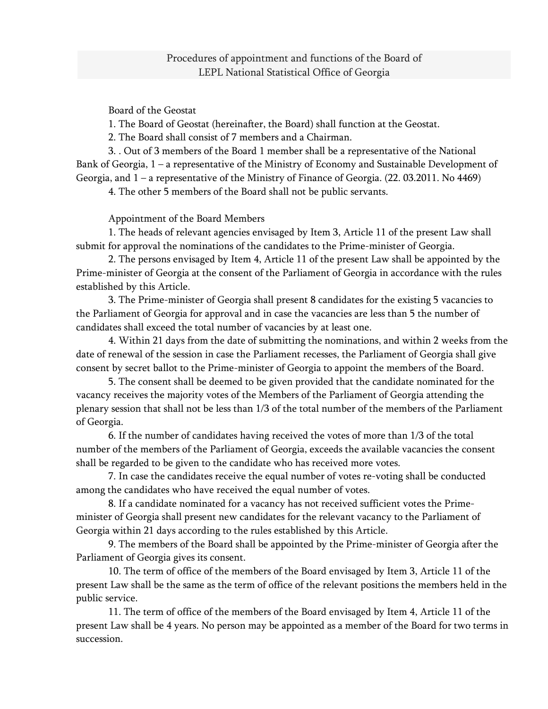Board of the Geostat

1. The Board of Geostat (hereinafter, the Board) shall function at the Geostat.

2. The Board shall consist of 7 members and a Chairman.

3. . Out of 3 members of the Board 1 member shall be a representative of the National Bank of Georgia, 1 – a representative of the Ministry of Economy and Sustainable Development of Georgia, and 1 – a representative of the Ministry of Finance of Georgia. (22. 03.2011. No 4469)

4. The other 5 members of the Board shall not be public servants.

Appointment of the Board Members

1. The heads of relevant agencies envisaged by Item 3, Article 11 of the present Law shall submit for approval the nominations of the candidates to the Prime-minister of Georgia.

2. The persons envisaged by Item 4, Article 11 of the present Law shall be appointed by the Prime-minister of Georgia at the consent of the Parliament of Georgia in accordance with the rules established by this Article.

3. The Prime-minister of Georgia shall present 8 candidates for the existing 5 vacancies to the Parliament of Georgia for approval and in case the vacancies are less than 5 the number of candidates shall exceed the total number of vacancies by at least one.

4. Within 21 days from the date of submitting the nominations, and within 2 weeks from the date of renewal of the session in case the Parliament recesses, the Parliament of Georgia shall give consent by secret ballot to the Prime-minister of Georgia to appoint the members of the Board.

5. The consent shall be deemed to be given provided that the candidate nominated for the vacancy receives the majority votes of the Members of the Parliament of Georgia attending the plenary session that shall not be less than 1/3 of the total number of the members of the Parliament of Georgia.

6. If the number of candidates having received the votes of more than 1/3 of the total number of the members of the Parliament of Georgia, exceeds the available vacancies the consent shall be regarded to be given to the candidate who has received more votes.

7. In case the candidates receive the equal number of votes re-voting shall be conducted among the candidates who have received the equal number of votes.

8. If a candidate nominated for a vacancy has not received sufficient votes the Primeminister of Georgia shall present new candidates for the relevant vacancy to the Parliament of Georgia within 21 days according to the rules established by this Article.

9. The members of the Board shall be appointed by the Prime-minister of Georgia after the Parliament of Georgia gives its consent.

10. The term of office of the members of the Board envisaged by Item 3, Article 11 of the present Law shall be the same as the term of office of the relevant positions the members held in the public service.

11. The term of office of the members of the Board envisaged by Item 4, Article 11 of the present Law shall be 4 years. No person may be appointed as a member of the Board for two terms in succession.